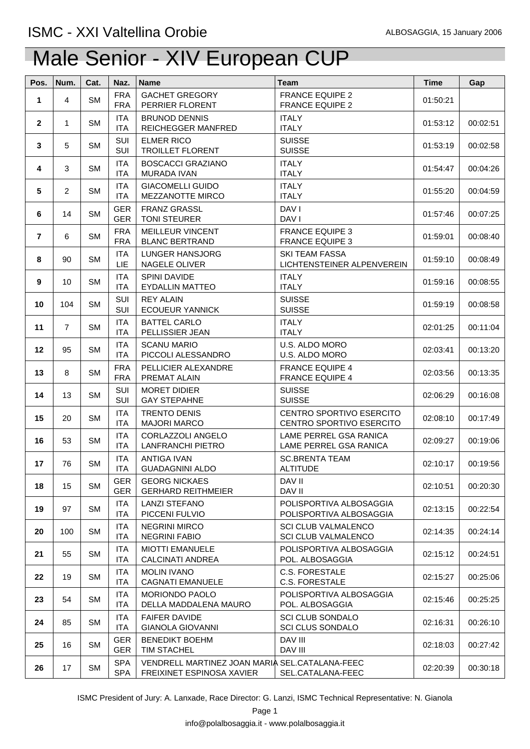| Pos.              | Num.           | Cat.      | Naz.                     | <b>Name</b>                                                                 | <b>Team</b>                                              | <b>Time</b> | Gap      |
|-------------------|----------------|-----------|--------------------------|-----------------------------------------------------------------------------|----------------------------------------------------------|-------------|----------|
| 1                 | 4              | <b>SM</b> | <b>FRA</b><br><b>FRA</b> | <b>GACHET GREGORY</b><br>PERRIER FLORENT                                    | <b>FRANCE EQUIPE 2</b><br><b>FRANCE EQUIPE 2</b>         | 01:50:21    |          |
| $\mathbf{2}$      | 1              | <b>SM</b> | <b>ITA</b><br><b>ITA</b> | <b>BRUNOD DENNIS</b><br>REICHEGGER MANFRED                                  | <b>ITALY</b><br><b>ITALY</b>                             | 01:53:12    | 00:02:51 |
| 3                 | 5              | <b>SM</b> | SUI<br>SUI               | <b>ELMER RICO</b><br><b>TROILLET FLORENT</b>                                | <b>SUISSE</b><br><b>SUISSE</b>                           | 01:53:19    | 00:02:58 |
| 4                 | 3              | <b>SM</b> | <b>ITA</b><br><b>ITA</b> | <b>BOSCACCI GRAZIANO</b><br>MURADA IVAN                                     | <b>ITALY</b><br><b>ITALY</b>                             | 01:54:47    | 00:04:26 |
| 5                 | $\overline{2}$ | <b>SM</b> | <b>ITA</b><br><b>ITA</b> | <b>GIACOMELLI GUIDO</b><br>MEZZANOTTE MIRCO                                 | <b>ITALY</b><br><b>ITALY</b>                             | 01:55:20    | 00:04:59 |
| 6                 | 14             | <b>SM</b> | <b>GER</b><br><b>GER</b> | <b>FRANZ GRASSL</b><br><b>TONI STEURER</b>                                  | DAV I<br>DAV I                                           | 01:57:46    | 00:07:25 |
| $\overline{7}$    | 6              | <b>SM</b> | <b>FRA</b><br><b>FRA</b> | <b>MEILLEUR VINCENT</b><br><b>BLANC BERTRAND</b>                            | <b>FRANCE EQUIPE 3</b><br><b>FRANCE EQUIPE 3</b>         | 01:59:01    | 00:08:40 |
| 8                 | 90             | <b>SM</b> | <b>ITA</b><br><b>LIE</b> | LUNGER HANSJORG<br>NAGELE OLIVER                                            | <b>SKI TEAM FASSA</b><br>LICHTENSTEINER ALPENVEREIN      | 01:59:10    | 00:08:49 |
| 9                 | 10             | <b>SM</b> | <b>ITA</b><br>ITA        | SPINI DAVIDE<br><b>EYDALLIN MATTEO</b>                                      | <b>ITALY</b><br><b>ITALY</b>                             | 01:59:16    | 00:08:55 |
| 10                | 104            | <b>SM</b> | SUI<br>SUI               | <b>REY ALAIN</b><br><b>ECOUEUR YANNICK</b>                                  | <b>SUISSE</b><br><b>SUISSE</b>                           | 01:59:19    | 00:08:58 |
| 11                | $\overline{7}$ | <b>SM</b> | <b>ITA</b><br><b>ITA</b> | <b>BATTEL CARLO</b><br>PELLISSIER JEAN                                      | <b>ITALY</b><br><b>ITALY</b>                             | 02:01:25    | 00:11:04 |
| $12 \overline{ }$ | 95             | <b>SM</b> | <b>ITA</b><br><b>ITA</b> | <b>SCANU MARIO</b><br>PICCOLI ALESSANDRO                                    | U.S. ALDO MORO<br>U.S. ALDO MORO                         | 02:03:41    | 00:13:20 |
| 13                | 8              | <b>SM</b> | <b>FRA</b><br><b>FRA</b> | PELLICIER ALEXANDRE<br>PREMAT ALAIN                                         | <b>FRANCE EQUIPE 4</b><br><b>FRANCE EQUIPE 4</b>         | 02:03:56    | 00:13:35 |
| 14                | 13             | <b>SM</b> | SUI<br>SUI               | <b>MORET DIDIER</b><br><b>GAY STEPAHNE</b>                                  | <b>SUISSE</b><br><b>SUISSE</b>                           | 02:06:29    | 00:16:08 |
| 15                | 20             | <b>SM</b> | <b>ITA</b><br><b>ITA</b> | <b>TRENTO DENIS</b><br><b>MAJORI MARCO</b>                                  | CENTRO SPORTIVO ESERCITO<br>CENTRO SPORTIVO ESERCITO     | 02:08:10    | 00:17:49 |
| 16                | 53             | <b>SM</b> | <b>ITA</b><br><b>ITA</b> | CORLAZZOLI ANGELO<br><b>LANFRANCHI PIETRO</b>                               | LAME PERREL GSA RANICA<br>LAME PERREL GSA RANICA         | 02:09:27    | 00:19:06 |
| 17                | 76             | <b>SM</b> | <b>ITA</b><br><b>ITA</b> | <b>ANTIGA IVAN</b><br><b>GUADAGNINI ALDO</b>                                | <b>SC.BRENTA TEAM</b><br><b>ALTITUDE</b>                 | 02:10:17    | 00:19:56 |
| 18                | 15             | <b>SM</b> | <b>GER</b><br><b>GER</b> | <b>GEORG NICKAES</b><br><b>GERHARD REITHMEIER</b>                           | DAV II<br>DAV II                                         | 02:10:51    | 00:20:30 |
| 19                | 97             | <b>SM</b> | ITA<br><b>ITA</b>        | <b>LANZI STEFANO</b><br>PICCENI FULVIO                                      | POLISPORTIVA ALBOSAGGIA<br>POLISPORTIVA ALBOSAGGIA       | 02:13:15    | 00:22:54 |
| 20                | 100            | <b>SM</b> | <b>ITA</b><br><b>ITA</b> | <b>NEGRINI MIRCO</b><br><b>NEGRINI FABIO</b>                                | <b>SCI CLUB VALMALENCO</b><br><b>SCI CLUB VALMALENCO</b> | 02:14:35    | 00:24:14 |
| 21                | 55             | <b>SM</b> | <b>ITA</b><br><b>ITA</b> | <b>MIOTTI EMANUELE</b><br><b>CALCINATI ANDREA</b>                           | POLISPORTIVA ALBOSAGGIA<br>POL. ALBOSAGGIA               | 02:15:12    | 00:24:51 |
| 22                | 19             | <b>SM</b> | ITA<br><b>ITA</b>        | <b>MOLIN IVANO</b><br><b>CAGNATI EMANUELE</b>                               | <b>C.S. FORESTALE</b><br><b>C.S. FORESTALE</b>           | 02:15:27    | 00:25:06 |
| 23                | 54             | <b>SM</b> | <b>ITA</b><br><b>ITA</b> | <b>MORIONDO PAOLO</b><br>DELLA MADDALENA MAURO                              | POLISPORTIVA ALBOSAGGIA<br>POL. ALBOSAGGIA               | 02:15:46    | 00:25:25 |
| 24                | 85             | <b>SM</b> | ITA<br>ITA               | <b>FAIFER DAVIDE</b><br><b>GIANOLA GIOVANNI</b>                             | <b>SCI CLUB SONDALO</b><br>SCI CLUS SONDALO              | 02:16:31    | 00:26:10 |
| 25                | 16             | <b>SM</b> | <b>GER</b><br><b>GER</b> | <b>BENEDIKT BOEHM</b><br>TIM STACHEL                                        | DAV III<br>DAV III                                       | 02:18:03    | 00:27:42 |
| 26                | 17             | <b>SM</b> | <b>SPA</b><br><b>SPA</b> | VENDRELL MARTINEZ JOAN MARIA SEL.CATALANA-FEEC<br>FREIXINET ESPINOSA XAVIER | SEL.CATALANA-FEEC                                        | 02:20:39    | 00:30:18 |

ISMC President of Jury: A. Lanxade, Race Director: G. Lanzi, ISMC Technical Representative: N. Gianola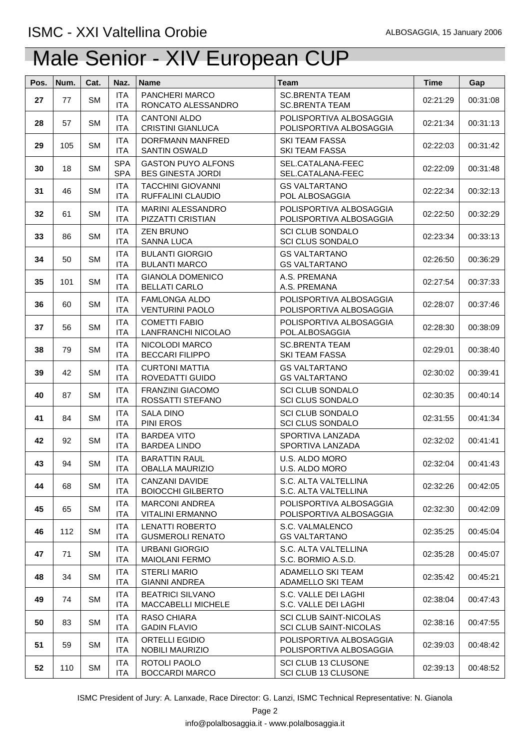| Pos. | Num. | Cat.      | Naz.                     | <b>Name</b>                                           | <b>Team</b>                                             | <b>Time</b> | Gap      |
|------|------|-----------|--------------------------|-------------------------------------------------------|---------------------------------------------------------|-------------|----------|
| 27   | 77   | <b>SM</b> | <b>ITA</b><br><b>ITA</b> | PANCHERI MARCO<br>RONCATO ALESSANDRO                  | <b>SC.BRENTA TEAM</b><br><b>SC.BRENTA TEAM</b>          | 02:21:29    | 00:31:08 |
| 28   | 57   | <b>SM</b> | <b>ITA</b><br><b>ITA</b> | <b>CANTONI ALDO</b><br><b>CRISTINI GIANLUCA</b>       | POLISPORTIVA ALBOSAGGIA<br>POLISPORTIVA ALBOSAGGIA      | 02:21:34    | 00:31:13 |
| 29   | 105  | <b>SM</b> | <b>ITA</b><br><b>ITA</b> | DORFMANN MANFRED<br><b>SANTIN OSWALD</b>              | <b>SKI TEAM FASSA</b><br><b>SKI TEAM FASSA</b>          | 02:22:03    | 00:31:42 |
| 30   | 18   | <b>SM</b> | <b>SPA</b><br><b>SPA</b> | <b>GASTON PUYO ALFONS</b><br><b>BES GINESTA JORDI</b> | SEL.CATALANA-FEEC<br>SEL.CATALANA-FEEC                  | 02:22:09    | 00:31:48 |
| 31   | 46   | <b>SM</b> | <b>ITA</b><br><b>ITA</b> | <b>TACCHINI GIOVANNI</b><br>RUFFALINI CLAUDIO         | <b>GS VALTARTANO</b><br>POL ALBOSAGGIA                  | 02:22:34    | 00:32:13 |
| 32   | 61   | <b>SM</b> | <b>ITA</b><br><b>ITA</b> | MARINI ALESSANDRO<br>PIZZATTI CRISTIAN                | POLISPORTIVA ALBOSAGGIA<br>POLISPORTIVA ALBOSAGGIA      | 02:22:50    | 00:32:29 |
| 33   | 86   | <b>SM</b> | <b>ITA</b><br><b>ITA</b> | <b>ZEN BRUNO</b><br>SANNA LUCA                        | <b>SCI CLUB SONDALO</b><br><b>SCI CLUS SONDALO</b>      | 02:23:34    | 00:33:13 |
| 34   | 50   | <b>SM</b> | <b>ITA</b><br><b>ITA</b> | <b>BULANTI GIORGIO</b><br><b>BULANTI MARCO</b>        | <b>GS VALTARTANO</b><br><b>GS VALTARTANO</b>            | 02:26:50    | 00:36:29 |
| 35   | 101  | <b>SM</b> | <b>ITA</b><br><b>ITA</b> | <b>GIANOLA DOMENICO</b><br><b>BELLATI CARLO</b>       | A.S. PREMANA<br>A.S. PREMANA                            | 02:27:54    | 00:37:33 |
| 36   | 60   | <b>SM</b> | <b>ITA</b><br><b>ITA</b> | <b>FAMLONGA ALDO</b><br><b>VENTURINI PAOLO</b>        | POLISPORTIVA ALBOSAGGIA<br>POLISPORTIVA ALBOSAGGIA      | 02:28:07    | 00:37:46 |
| 37   | 56   | <b>SM</b> | <b>ITA</b><br><b>ITA</b> | <b>COMETTI FABIO</b><br>LANFRANCHI NICOLAO            | POLISPORTIVA ALBOSAGGIA<br>POL.ALBOSAGGIA               | 02:28:30    | 00:38:09 |
| 38   | 79   | <b>SM</b> | <b>ITA</b><br><b>ITA</b> | NICOLODI MARCO<br><b>BECCARI FILIPPO</b>              | <b>SC.BRENTA TEAM</b><br><b>SKI TEAM FASSA</b>          | 02:29:01    | 00:38:40 |
| 39   | 42   | <b>SM</b> | <b>ITA</b><br><b>ITA</b> | <b>CURTONI MATTIA</b><br>ROVEDATTI GUIDO              | <b>GS VALTARTANO</b><br><b>GS VALTARTANO</b>            | 02:30:02    | 00:39:41 |
| 40   | 87   | <b>SM</b> | <b>ITA</b><br><b>ITA</b> | <b>FRANZINI GIACOMO</b><br>ROSSATTI STEFANO           | <b>SCI CLUB SONDALO</b><br><b>SCI CLUS SONDALO</b>      | 02:30:35    | 00:40:14 |
| 41   | 84   | <b>SM</b> | <b>ITA</b><br><b>ITA</b> | <b>SALA DINO</b><br>PINI EROS                         | <b>SCI CLUB SONDALO</b><br><b>SCI CLUS SONDALO</b>      | 02:31:55    | 00:41:34 |
| 42   | 92   | <b>SM</b> | <b>ITA</b><br><b>ITA</b> | <b>BARDEA VITO</b><br><b>BARDEA LINDO</b>             | SPORTIVA LANZADA<br>SPORTIVA LANZADA                    | 02:32:02    | 00:41:41 |
| 43   | 94   | <b>SM</b> | <b>ITA</b><br>ITA        | <b>BARATTIN RAUL</b><br><b>OBALLA MAURIZIO</b>        | U.S. ALDO MORO<br>U.S. ALDO MORO                        | 02:32:04    | 00:41:43 |
| 44   | 68   | <b>SM</b> | ITA<br><b>ITA</b>        | CANZANI DAVIDE<br><b>BOIOCCHI GILBERTO</b>            | S.C. ALTA VALTELLINA<br>S.C. ALTA VALTELLINA            | 02:32:26    | 00:42:05 |
| 45   | 65   | <b>SM</b> | <b>ITA</b><br><b>ITA</b> | <b>MARCONI ANDREA</b><br><b>VITALINI ERMANNO</b>      | POLISPORTIVA ALBOSAGGIA<br>POLISPORTIVA ALBOSAGGIA      | 02:32:30    | 00:42:09 |
| 46   | 112  | <b>SM</b> | <b>ITA</b><br><b>ITA</b> | <b>LENATTI ROBERTO</b><br><b>GUSMEROLI RENATO</b>     | S.C. VALMALENCO<br><b>GS VALTARTANO</b>                 | 02:35:25    | 00:45:04 |
| 47   | 71   | <b>SM</b> | <b>ITA</b><br><b>ITA</b> | <b>URBANI GIORGIO</b><br><b>MAIOLANI FERMO</b>        | S.C. ALTA VALTELLINA<br>S.C. BORMIO A.S.D.              | 02:35:28    | 00:45:07 |
| 48   | 34   | <b>SM</b> | <b>ITA</b><br><b>ITA</b> | <b>STERLI MARIO</b><br><b>GIANNI ANDREA</b>           | ADAMELLO SKI TEAM<br>ADAMELLO SKI TEAM                  | 02:35:42    | 00:45:21 |
| 49   | 74   | <b>SM</b> | <b>ITA</b><br><b>ITA</b> | <b>BEATRICI SILVANO</b><br>MACCABELLI MICHELE         | S.C. VALLE DEI LAGHI<br>S.C. VALLE DEI LAGHI            | 02:38:04    | 00:47:43 |
| 50   | 83   | <b>SM</b> | <b>ITA</b><br><b>ITA</b> | RASO CHIARA<br><b>GADIN FLAVIO</b>                    | <b>SCI CLUB SAINT-NICOLAS</b><br>SCI CLUB SAINT-NICOLAS | 02:38:16    | 00:47:55 |
| 51   | 59   | <b>SM</b> | <b>ITA</b><br><b>ITA</b> | <b>ORTELLI EGIDIO</b><br>NOBILI MAURIZIO              | POLISPORTIVA ALBOSAGGIA<br>POLISPORTIVA ALBOSAGGIA      | 02:39:03    | 00:48:42 |
| 52   | 110  | <b>SM</b> | <b>ITA</b><br><b>ITA</b> | ROTOLI PAOLO<br><b>BOCCARDI MARCO</b>                 | SCI CLUB 13 CLUSONE<br>SCI CLUB 13 CLUSONE              | 02:39:13    | 00:48:52 |

ISMC President of Jury: A. Lanxade, Race Director: G. Lanzi, ISMC Technical Representative: N. Gianola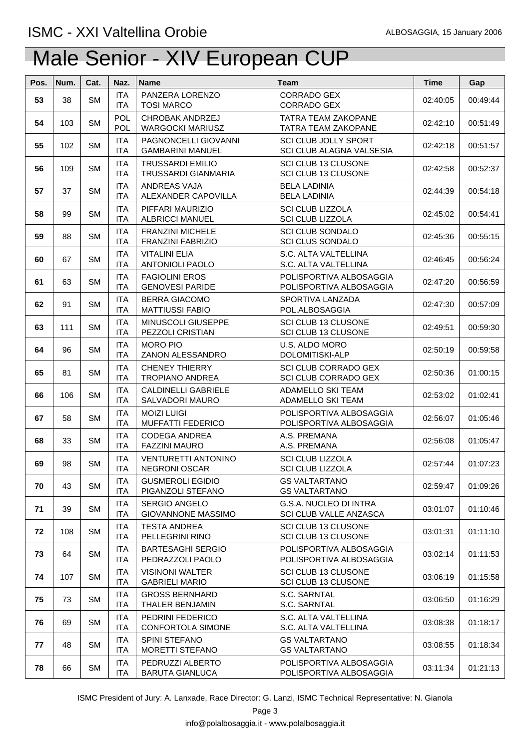| Pos. | Num. | Cat.      | Naz.                     | <b>Name</b>                                         | <b>Team</b>                                                | <b>Time</b> | Gap      |
|------|------|-----------|--------------------------|-----------------------------------------------------|------------------------------------------------------------|-------------|----------|
| 53   | 38   | <b>SM</b> | <b>ITA</b><br>ITA        | PANZERA LORENZO<br><b>TOSI MARCO</b>                | CORRADO GEX<br>CORRADO GEX                                 | 02:40:05    | 00:49:44 |
| 54   | 103  | <b>SM</b> | <b>POL</b><br><b>POL</b> | <b>CHROBAK ANDRZEJ</b><br><b>WARGOCKI MARIUSZ</b>   | <b>TATRA TEAM ZAKOPANE</b><br>TATRA TEAM ZAKOPANE          | 02:42:10    | 00:51:49 |
| 55   | 102  | <b>SM</b> | <b>ITA</b><br><b>ITA</b> | PAGNONCELLI GIOVANNI<br><b>GAMBARINI MANUEL</b>     | SCI CLUB JOLLY SPORT<br>SCI CLUB ALAGNA VALSESIA           | 02:42:18    | 00:51:57 |
| 56   | 109  | <b>SM</b> | <b>ITA</b><br><b>ITA</b> | <b>TRUSSARDI EMILIO</b><br>TRUSSARDI GIANMARIA      | SCI CLUB 13 CLUSONE<br>SCI CLUB 13 CLUSONE                 | 02:42:58    | 00:52:37 |
| 57   | 37   | <b>SM</b> | <b>ITA</b><br><b>ITA</b> | ANDREAS VAJA<br>ALEXANDER CAPOVILLA                 | <b>BELA LADINIA</b><br><b>BELA LADINIA</b>                 | 02:44:39    | 00:54:18 |
| 58   | 99   | <b>SM</b> | <b>ITA</b><br><b>ITA</b> | PIFFARI MAURIZIO<br><b>ALBRICCI MANUEL</b>          | <b>SCI CLUB LIZZOLA</b><br><b>SCI CLUB LIZZOLA</b>         | 02:45:02    | 00:54:41 |
| 59   | 88   | <b>SM</b> | <b>ITA</b><br><b>ITA</b> | <b>FRANZINI MICHELE</b><br><b>FRANZINI FABRIZIO</b> | <b>SCI CLUB SONDALO</b><br><b>SCI CLUS SONDALO</b>         | 02:45:36    | 00:55:15 |
| 60   | 67   | <b>SM</b> | <b>ITA</b><br><b>ITA</b> | <b>VITALINI ELIA</b><br><b>ANTONIOLI PAOLO</b>      | S.C. ALTA VALTELLINA<br>S.C. ALTA VALTELLINA               | 02:46:45    | 00:56:24 |
| 61   | 63   | <b>SM</b> | <b>ITA</b><br><b>ITA</b> | <b>FAGIOLINI EROS</b><br><b>GENOVESI PARIDE</b>     | POLISPORTIVA ALBOSAGGIA<br>POLISPORTIVA ALBOSAGGIA         | 02:47:20    | 00:56:59 |
| 62   | 91   | <b>SM</b> | <b>ITA</b><br><b>ITA</b> | <b>BERRA GIACOMO</b><br><b>MATTIUSSI FABIO</b>      | SPORTIVA LANZADA<br>POL.ALBOSAGGIA                         | 02:47:30    | 00:57:09 |
| 63   | 111  | <b>SM</b> | <b>ITA</b><br><b>ITA</b> | MINUSCOLI GIUSEPPE<br>PEZZOLI CRISTIAN              | SCI CLUB 13 CLUSONE<br>SCI CLUB 13 CLUSONE                 | 02:49:51    | 00:59:30 |
| 64   | 96   | <b>SM</b> | <b>ITA</b><br><b>ITA</b> | <b>MORO PIO</b><br>ZANON ALESSANDRO                 | U.S. ALDO MORO<br>DOLOMITISKI-ALP                          | 02:50:19    | 00:59:58 |
| 65   | 81   | <b>SM</b> | <b>ITA</b><br><b>ITA</b> | <b>CHENEY THIERRY</b><br><b>TROPIANO ANDREA</b>     | <b>SCI CLUB CORRADO GEX</b><br><b>SCI CLUB CORRADO GEX</b> | 02:50:36    | 01:00:15 |
| 66   | 106  | <b>SM</b> | <b>ITA</b><br><b>ITA</b> | <b>CALDINELLI GABRIELE</b><br>SALVADORI MAURO       | <b>ADAMELLO SKI TEAM</b><br>ADAMELLO SKI TEAM              | 02:53:02    | 01:02:41 |
| 67   | 58   | <b>SM</b> | <b>ITA</b><br><b>ITA</b> | <b>MOIZI LUIGI</b><br><b>MUFFATTI FEDERICO</b>      | POLISPORTIVA ALBOSAGGIA<br>POLISPORTIVA ALBOSAGGIA         | 02:56:07    | 01:05:46 |
| 68   | 33   | <b>SM</b> | <b>ITA</b><br><b>ITA</b> | <b>CODEGA ANDREA</b><br><b>FAZZINI MAURO</b>        | A.S. PREMANA<br>A.S. PREMANA                               | 02:56:08    | 01:05:47 |
| 69   | 98   | <b>SM</b> | <b>ITA</b><br><b>ITA</b> | <b>VENTURETTI ANTONINO</b><br><b>NEGRONI OSCAR</b>  | <b>SCI CLUB LIZZOLA</b><br><b>SCI CLUB LIZZOLA</b>         | 02:57:44    | 01:07:23 |
| 70   | 43   | <b>SM</b> | <b>ITA</b><br><b>ITA</b> | <b>GUSMEROLI EGIDIO</b><br>PIGANZOLI STEFANO        | <b>GS VALTARTANO</b><br><b>GS VALTARTANO</b>               | 02:59:47    | 01:09:26 |
| 71   | 39   | <b>SM</b> | <b>ITA</b><br><b>ITA</b> | <b>SERGIO ANGELO</b><br><b>GIOVANNONE MASSIMO</b>   | G.S.A. NUCLEO DI INTRA<br>SCI CLUB VALLE ANZASCA           | 03:01:07    | 01:10:46 |
| 72   | 108  | <b>SM</b> | <b>ITA</b><br><b>ITA</b> | TESTA ANDREA<br>PELLEGRINI RINO                     | <b>SCI CLUB 13 CLUSONE</b><br>SCI CLUB 13 CLUSONE          | 03:01:31    | 01:11:10 |
| 73   | 64   | <b>SM</b> | <b>ITA</b><br><b>ITA</b> | <b>BARTESAGHI SERGIO</b><br>PEDRAZZOLI PAOLO        | POLISPORTIVA ALBOSAGGIA<br>POLISPORTIVA ALBOSAGGIA         | 03:02:14    | 01:11:53 |
| 74   | 107  | <b>SM</b> | <b>ITA</b><br><b>ITA</b> | <b>VISINONI WALTER</b><br><b>GABRIELI MARIO</b>     | SCI CLUB 13 CLUSONE<br>SCI CLUB 13 CLUSONE                 | 03:06:19    | 01:15:58 |
| 75   | 73   | <b>SM</b> | <b>ITA</b><br><b>ITA</b> | <b>GROSS BERNHARD</b><br>THALER BENJAMIN            | S.C. SARNTAL<br>S.C. SARNTAL                               | 03:06:50    | 01:16:29 |
| 76   | 69   | <b>SM</b> | <b>ITA</b><br><b>ITA</b> | PEDRINI FEDERICO<br>CONFORTOLA SIMONE               | S.C. ALTA VALTELLINA<br>S.C. ALTA VALTELLINA               | 03:08:38    | 01:18:17 |
| 77   | 48   | <b>SM</b> | <b>ITA</b><br><b>ITA</b> | SPINI STEFANO<br><b>MORETTI STEFANO</b>             | <b>GS VALTARTANO</b><br><b>GS VALTARTANO</b>               | 03:08:55    | 01:18:34 |
| 78   | 66   | <b>SM</b> | <b>ITA</b><br><b>ITA</b> | PEDRUZZI ALBERTO<br><b>BARUTA GIANLUCA</b>          | POLISPORTIVA ALBOSAGGIA<br>POLISPORTIVA ALBOSAGGIA         | 03:11:34    | 01:21:13 |

ISMC President of Jury: A. Lanxade, Race Director: G. Lanzi, ISMC Technical Representative: N. Gianola